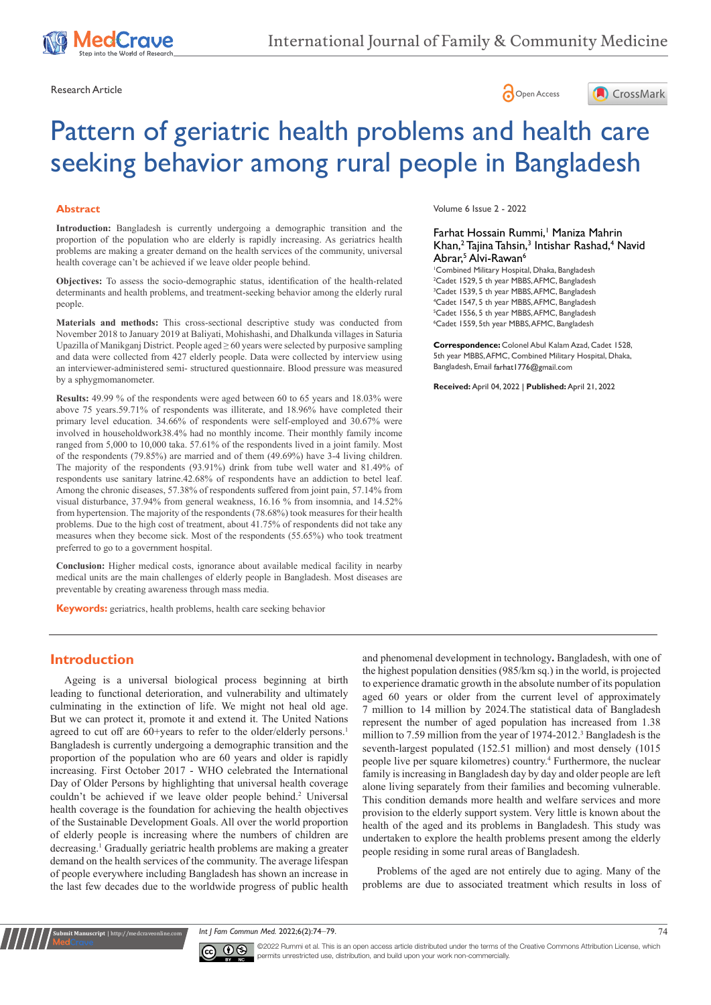

Research Article **Contracts** Contracts and Contracts Contracts Contracts Contracts Contracts Contracts Contracts Contracts Contracts Contracts Contracts Contracts Contracts Contracts Contracts Contracts Contracts Contracts





# Pattern of geriatric health problems and health care seeking behavior among rural people in Bangladesh

#### **Abstract**

**Introduction:** Bangladesh is currently undergoing a demographic transition and the proportion of the population who are elderly is rapidly increasing. As geriatrics health problems are making a greater demand on the health services of the community, universal health coverage can't be achieved if we leave older people behind.

**Objectives:** To assess the socio-demographic status, identification of the health-related determinants and health problems, and treatment-seeking behavior among the elderly rural people.

**Materials and methods:** This cross-sectional descriptive study was conducted from November 2018 to January 2019 at Baliyati, Mohishashi, and Dhalkunda villages in Saturia Upazilla of Manikganj District. People aged ≥ 60 years were selected by purposive sampling and data were collected from 427 elderly people. Data were collected by interview using an interviewer-administered semi- structured questionnaire. Blood pressure was measured by a sphygmomanometer.

**Results:** 49.99 % of the respondents were aged between 60 to 65 years and 18.03% were above 75 years.59.71% of respondents was illiterate, and 18.96% have completed their primary level education. 34.66% of respondents were self-employed and 30.67% were involved in householdwork38.4% had no monthly income. Their monthly family income ranged from 5,000 to 10,000 taka. 57.61% of the respondents lived in a joint family. Most of the respondents (79.85%) are married and of them (49.69%) have 3-4 living children. The majority of the respondents (93.91%) drink from tube well water and 81.49% of respondents use sanitary latrine.42.68% of respondents have an addiction to betel leaf. Among the chronic diseases, 57.38% of respondents suffered from joint pain, 57.14% from visual disturbance, 37.94% from general weakness, 16.16 % from insomnia, and 14.52% from hypertension. The majority of the respondents (78.68%) took measures for their health problems. Due to the high cost of treatment, about 41.75% of respondents did not take any measures when they become sick. Most of the respondents (55.65%) who took treatment preferred to go to a government hospital.

**Conclusion:** Higher medical costs, ignorance about available medical facility in nearby medical units are the main challenges of elderly people in Bangladesh. Most diseases are preventable by creating awareness through mass media.

**Keywords:** geriatrics, health problems, health care seeking behavior

Volume 6 Issue 2 - 2022

## Farhat Hossain Rummi,<sup>1</sup> Maniza Mahrin Khan,<sup>2</sup> Tajina Tahsin,<sup>3</sup> Intishar Rashad,<sup>4</sup> Navid Abrar,<sup>5</sup> Alvi-Rawan<sup>6</sup>

 Combined Military Hospital, Dhaka, Bangladesh Cadet 1529, 5 th year MBBS, AFMC, Bangladesh Cadet 1539, 5 th year MBBS, AFMC, Bangladesh Cadet 1547, 5 th year MBBS, AFMC, Bangladesh Cadet 1556, 5 th year MBBS, AFMC, Bangladesh Cadet 1559, 5th year MBBS, AFMC, Bangladesh

**Correspondence:** Colonel Abul Kalam Azad, Cadet 1528, 5th year MBBS, AFMC, Combined Military Hospital, Dhaka, Bangladesh, Email farhat | 776@gmail.com

**Received:** April 04, 2022 | **Published:** April 21, 2022

### **Introduction**

**Krit Manuscript** | http://medcraveonline.c

Ageing is a universal biological process beginning at birth leading to functional deterioration, and vulnerability and ultimately culminating in the extinction of life. We might not heal old age. But we can protect it, promote it and extend it. The United Nations agreed to cut off are 60+years to refer to the older/elderly persons.<sup>1</sup> Bangladesh is currently undergoing a demographic transition and the proportion of the population who are 60 years and older is rapidly increasing. First October 2017 - WHO celebrated the International Day of Older Persons by highlighting that universal health coverage couldn't be achieved if we leave older people behind.<sup>2</sup> Universal health coverage is the foundation for achieving the health objectives of the Sustainable Development Goals. All over the world proportion of elderly people is increasing where the numbers of children are decreasing.<sup>1</sup> Gradually geriatric health problems are making a greater demand on the health services of the community. The average lifespan of people everywhere including Bangladesh has shown an increase in the last few decades due to the worldwide progress of public health

and phenomenal development in technology**.** Bangladesh, with one of the highest population densities (985/km sq.) in the world, is projected to experience dramatic growth in the absolute number of its population aged 60 years or older from the current level of approximately 7 million to 14 million by 2024.The statistical data of Bangladesh represent the number of aged population has increased from 1.38 million to 7.59 million from the year of 1974-2012.<sup>3</sup> Bangladesh is the seventh-largest populated (152.51 million) and most densely (1015 people live per square kilometres) country.4 Furthermore, the nuclear family is increasing in Bangladesh day by day and older people are left alone living separately from their families and becoming vulnerable. This condition demands more health and welfare services and more provision to the elderly support system. Very little is known about the health of the aged and its problems in Bangladesh. This study was undertaken to explore the health problems present among the elderly people residing in some rural areas of Bangladesh.

Problems of the aged are not entirely due to aging. Many of the problems are due to associated treatment which results in loss of

*Int J Fam Commun Med.* 2022;6(2):74‒79. 74



©2022 Rummi et al. This is an open access article distributed under the terms of the [Creative Commons Attribution License,](https://creativecommons.org/licenses/by-nc/4.0/) which permits unrestricted use, distribution, and build upon your work non-commercially.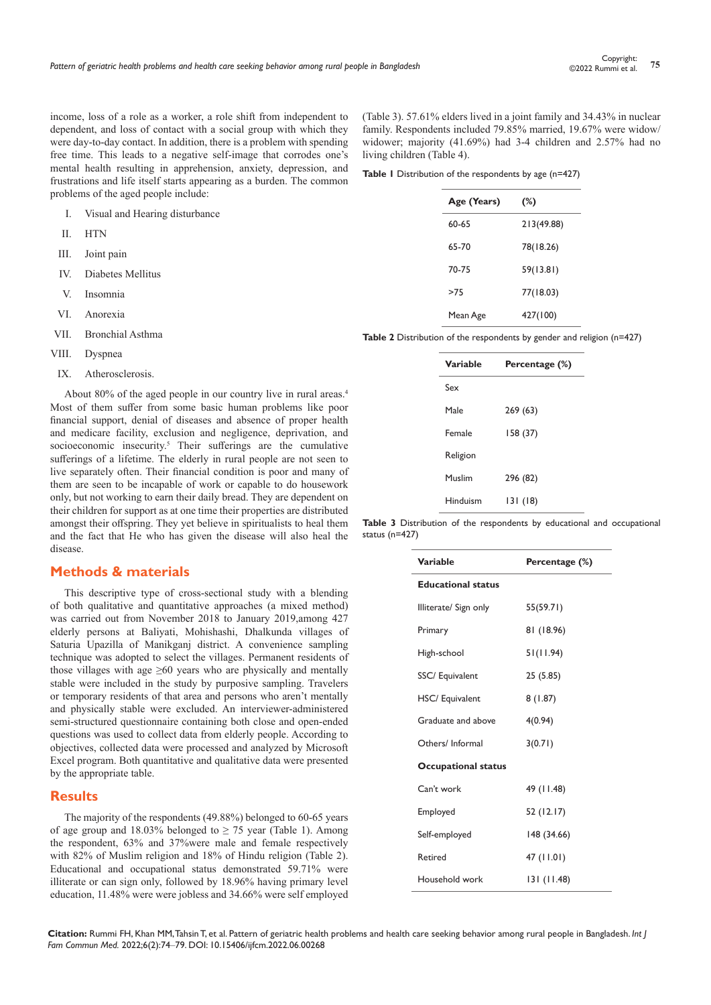income, loss of a role as a worker, a role shift from independent to dependent, and loss of contact with a social group with which they were day-to-day contact. In addition, there is a problem with spending free time. This leads to a negative self-image that corrodes one's mental health resulting in apprehension, anxiety, depression, and frustrations and life itself starts appearing as a burden. The common problems of the aged people include:

- I. Visual and Hearing disturbance
- II. HTN
- III. Joint pain
- IV. Diabetes Mellitus
- V. Insomnia
- VI. Anorexia
- VII. Bronchial Asthma
- VIII. Dyspnea
- IX. Atherosclerosis.

About 80% of the aged people in our country live in rural areas.4 Most of them suffer from some basic human problems like poor financial support, denial of diseases and absence of proper health and medicare facility, exclusion and negligence, deprivation, and socioeconomic insecurity.<sup>5</sup> Their sufferings are the cumulative sufferings of a lifetime. The elderly in rural people are not seen to live separately often. Their financial condition is poor and many of them are seen to be incapable of work or capable to do housework only, but not working to earn their daily bread. They are dependent on their children for support as at one time their properties are distributed amongst their offspring. They yet believe in spiritualists to heal them and the fact that He who has given the disease will also heal the disease.

# **Methods & materials**

This descriptive type of cross-sectional study with a blending of both qualitative and quantitative approaches (a mixed method) was carried out from November 2018 to January 2019,among 427 elderly persons at Baliyati, Mohishashi, Dhalkunda villages of Saturia Upazilla of Manikganj district. A convenience sampling technique was adopted to select the villages. Permanent residents of those villages with age  $\geq 60$  years who are physically and mentally stable were included in the study by purposive sampling. Travelers or temporary residents of that area and persons who aren't mentally and physically stable were excluded. An interviewer-administered semi-structured questionnaire containing both close and open-ended questions was used to collect data from elderly people. According to objectives, collected data were processed and analyzed by Microsoft Excel program. Both quantitative and qualitative data were presented by the appropriate table.

#### **Results**

The majority of the respondents (49.88%) belonged to 60-65 years of age group and 18.03% belonged to  $\geq$  75 year (Table 1). Among the respondent, 63% and 37%were male and female respectively with 82% of Muslim religion and 18% of Hindu religion (Table 2). Educational and occupational status demonstrated 59.71% were illiterate or can sign only, followed by 18.96% having primary level education, 11.48% were were jobless and 34.66% were self employed (Table 3). 57.61% elders lived in a joint family and 34.43% in nuclear family. Respondents included 79.85% married, 19.67% were widow/ widower; majority (41.69%) had 3-4 children and 2.57% had no living children (Table 4).

Table 1 Distribution of the respondents by age (n=427)

| (%)        |
|------------|
| 213(49.88) |
| 78(18.26)  |
| 59(13.81)  |
| 77(18.03)  |
| 427(100)   |
|            |

**Table 2** Distribution of the respondents by gender and religion (n=427)

| Variable | Percentage (%) |
|----------|----------------|
| Sex      |                |
| Male     | 269 (63)       |
| Female   | 158 (37)       |
| Religion |                |
| Muslim   | 296 (82)       |
| Hinduism | 131 (18)       |

**Table 3** Distribution of the respondents by educational and occupational status (n=427)

| Variable                   | Percentage (%) |
|----------------------------|----------------|
| <b>Educational status</b>  |                |
| Illiterate/ Sign only      | 55(59.71)      |
| Primary                    | 81 (18.96)     |
| High-school                | 51(11.94)      |
| SSC/ Equivalent            | 25 (5.85)      |
| HSC/ Equivalent            | 8(1.87)        |
| Graduate and above         | 4(0.94)        |
| Others/Informal            | 3(0.71)        |
| <b>Occupational status</b> |                |
| Can't work                 | 49 (11.48)     |
| Employed                   | 52 (12.17)     |
| Self-employed              | 148 (34.66)    |
| Retired                    | 47 (11.01)     |
| Household work             | 131 (11.48)    |

**Citation:** Rummi FH, Khan MM, Tahsin T, et al. Pattern of geriatric health problems and health care seeking behavior among rural people in Bangladesh. *Int J Fam Commun Med.* 2022;6(2):74‒79. DOI: [10.15406/ijfcm.2022.06.00268](https://doi.org/10.15406/ijfcm.2022.06.00268)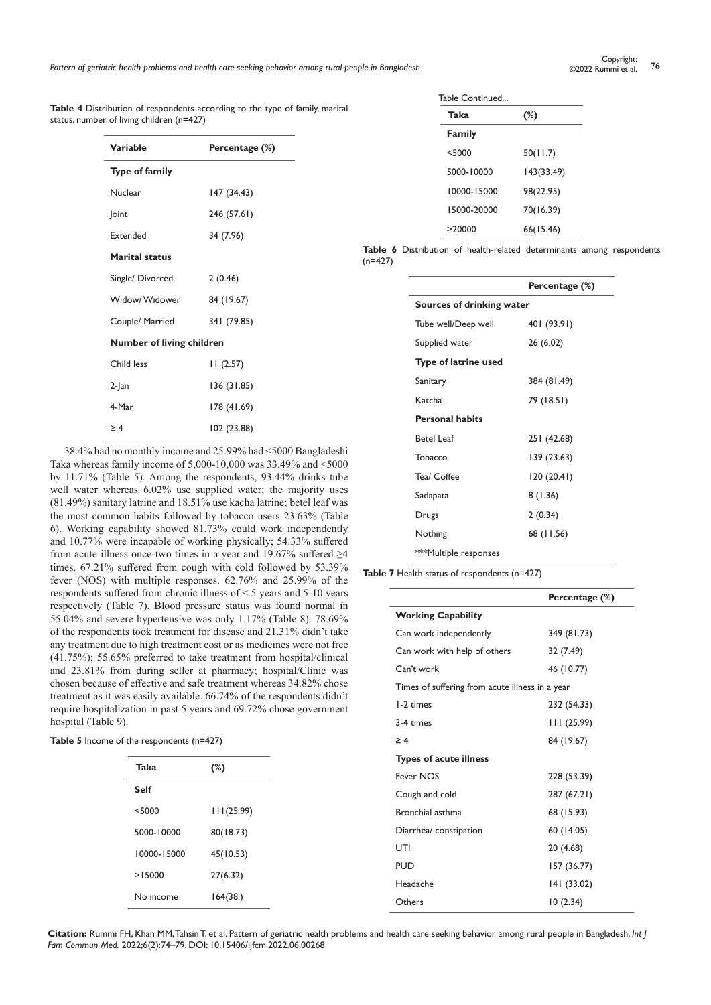|  | <b>Table 4</b> Distribution of respondents according to the type of family, marital |  |  |  |
|--|-------------------------------------------------------------------------------------|--|--|--|
|  | status, number of living children (n=427)                                           |  |  |  |

| Variable                  | Percentage (%) |
|---------------------------|----------------|
| <b>Type of family</b>     |                |
| Nuclear                   | 147 (34.43)    |
| <b>Joint</b>              | 246 (57.61)    |
| <b>Extended</b>           | 34 (7.96)      |
| <b>Marital status</b>     |                |
| Single/ Divorced          | 2(0.46)        |
| Widow/Widower             | 84 (19.67)     |
| Couple/ Married           | 341 (79.85)    |
| Number of living children |                |
| Child less                | 11(2.57)       |
| 2-Jan                     | 136 (31.85)    |
| 4-Mar                     | 178 (41.69)    |
| $\geq 4$                  | 102 (23.88)    |

38.4% had no monthly income and 25.99% had <5000 Bangladeshi Taka whereas family income of 5,000-10,000 was 33.49% and <5000 by 11.71% (Table 5). Among the respondents, 93.44% drinks tube well water whereas 6.02% use supplied water; the majority uses (81.49%) sanitary latrine and 18.51% use kacha latrine; betel leaf was the most common habits followed by tobacco users 23.63% (Table 6). Working capability showed 81.73% could work independently and 10.77% were incapable of working physically; 54.33% suffered from acute illness once-two times in a year and 19.67% suffered ≥4 times. 67.21% suffered from cough with cold followed by 53.39% fever (NOS) with multiple responses. 62.76% and 25.99% of the respondents suffered from chronic illness of < 5 years and 5-10 years respectively (Table 7). Blood pressure status was found normal in 55.04% and severe hypertensive was only 1.17% (Table 8). 78.69% of the respondents took treatment for disease and 21.31% didn't take any treatment due to high treatment cost or as medicines were not free (41.75%); 55.65% preferred to take treatment from hospital/clinical and 23.81% from during seller at pharmacy; hospital/Clinic was chosen because of effective and safe treatment whereas 34.82% chose treatment as it was easily available. 66.74% of the respondents didn't require hospitalization in past 5 years and 69.72% chose government hospital (Table 9).

Table 5 Income of the respondents (n=427)

| Taka        | (%)        |
|-------------|------------|
| Self        |            |
| $<$ 5000    | 111(25.99) |
| 5000-10000  | 80(18.73)  |
| 10000-15000 | 45(10.53)  |
| >15000      | 27(6.32)   |
| No income   | 164(38.)   |

| Table Continued |  |
|-----------------|--|
| $T_2$ ko        |  |

| Taka        | (%)        |
|-------------|------------|
| Family      |            |
| < 5000      | 50(11.7)   |
| 5000-10000  | 143(33.49) |
| 10000-15000 | 98(22.95)  |
| 15000-20000 | 70(16.39)  |
| >20000      | 66(15.46)  |

**Table 6** Distribution of health-related determinants among respondents (n=427)

|                              | Percentage (%) |  |  |
|------------------------------|----------------|--|--|
| Sources of drinking water    |                |  |  |
| Tube well/Deep well          | 401 (93.91)    |  |  |
| Supplied water               | 26 (6.02)      |  |  |
| <b>Type of latrine used</b>  |                |  |  |
| Sanitary                     | 384 (81.49)    |  |  |
| Katcha                       | 79 (18.51)     |  |  |
| <b>Personal habits</b>       |                |  |  |
| <b>Betel Leaf</b>            | 251 (42.68)    |  |  |
| Tobacco                      | 139 (23.63)    |  |  |
| Tea/ Coffee                  | 120 (20.41)    |  |  |
| Sadapata                     | 8 (1.36)       |  |  |
| Drugs                        | 2(0.34)        |  |  |
| Nothing                      | 68 (11.56)     |  |  |
| <b>***Multiple responses</b> |                |  |  |

**Table 7** Health status of respondents (n=427)

|                                                 | Percentage (%) |
|-------------------------------------------------|----------------|
| <b>Working Capability</b>                       |                |
| Can work independently                          | 349 (81.73)    |
| Can work with help of others                    | 32 (7.49)      |
| Can't work                                      | 46 (10.77)     |
| Times of suffering from acute illness in a year |                |
| 1-2 times                                       | 232 (54.33)    |
| 3-4 times                                       | 111 (25.99)    |
| $\geq 4$                                        | 84 (19.67)     |
| <b>Types of acute illness</b>                   |                |
| Fever NOS                                       | 228 (53.39)    |
| Cough and cold                                  | 287 (67.21)    |
| Bronchial asthma                                | 68 (15.93)     |
| Diarrhea/constipation                           | 60 (14.05)     |
| UTI                                             | 20 (4.68)      |
| <b>PUD</b>                                      | 157 (36.77)    |
| Headache                                        | 141 (33.02)    |
| Others                                          | 10(2.34)       |

**Citation:** Rummi FH, Khan MM, Tahsin T, et al. Pattern of geriatric health problems and health care seeking behavior among rural people in Bangladesh. *Int J Fam Commun Med.* 2022;6(2):74‒79. DOI: [10.15406/ijfcm.2022.06.00268](https://doi.org/10.15406/ijfcm.2022.06.00268)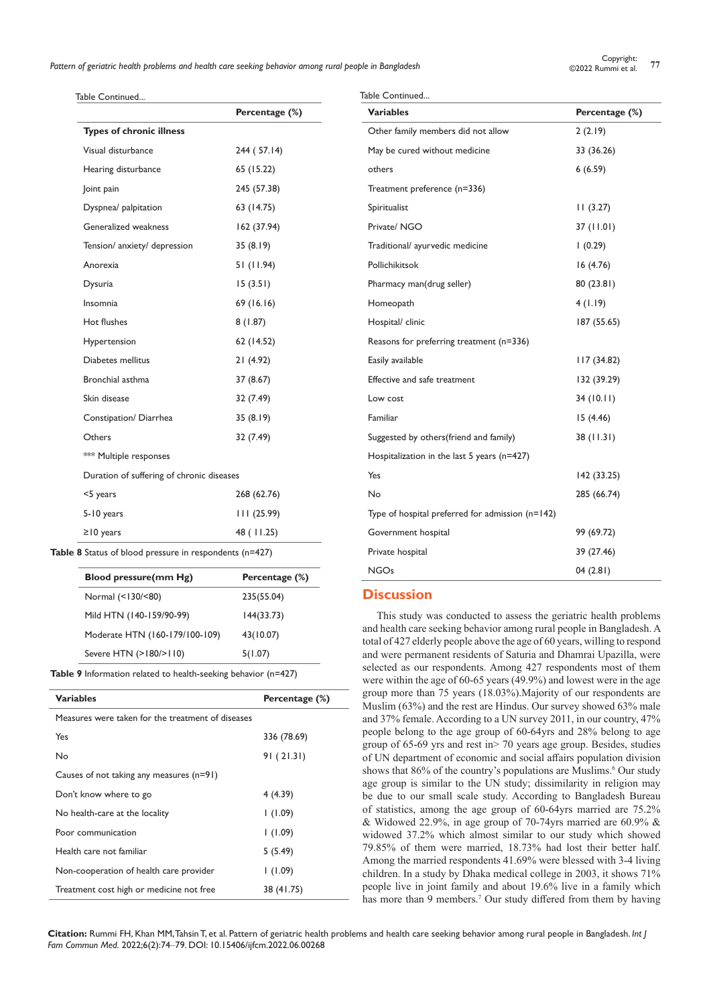*Pattern of geriatric health problems and health care seeking behavior among rural people in Bangladesh* **<sup>77</sup>** Copyright:

Table Continued... Table Continued...

|                                           | Percentage (%) |
|-------------------------------------------|----------------|
| <b>Types of chronic illness</b>           |                |
| Visual disturbance                        | 244 (57.14)    |
| Hearing disturbance                       | 65 (15.22)     |
| Joint pain                                | 245 (57.38)    |
| Dyspnea/ palpitation                      | 63 (14.75)     |
| Generalized weakness                      | 162 (37.94)    |
| Tension/ anxiety/ depression              | 35(8.19)       |
| Anorexia                                  | 51 (11.94)     |
| Dysuria                                   | 15(3.51)       |
| Insomnia                                  | 69 (16.16)     |
| Hot flushes                               | 8(1.87)        |
| Hypertension                              | 62 (14.52)     |
| Diabetes mellitus                         | 21 (4.92)      |
| Bronchial asthma                          | 37 (8.67)      |
| Skin disease                              | 32 (7.49)      |
| Constipation/ Diarrhea                    | 35(8.19)       |
| Others                                    | 32 (7.49)      |
| *** Multiple responses                    |                |
| Duration of suffering of chronic diseases |                |
| <5 years                                  | 268 (62.76)    |
| 5-10 years                                | 111(25.99)     |
| $\geq$ 10 years                           | 48 (11.25)     |

**Table 8** Status of blood pressure in respondents (n=427)

| Blood pressure(mm Hg)          | Percentage (%) |
|--------------------------------|----------------|
| Normal (<130/<80)              | 235(55.04)     |
| Mild HTN (140-159/90-99)       | 144(33.73)     |
| Moderate HTN (160-179/100-109) | 43(10.07)      |
| Severe HTN (>180/>110)         | 5(1.07)        |

**Table 9** Information related to health-seeking behavior (n=427)

| <b>Variables</b>                                  | Percentage (%) |
|---------------------------------------------------|----------------|
| Measures were taken for the treatment of diseases |                |
| Yes                                               | 336 (78.69)    |
| No                                                | 91(21.31)      |
| Causes of not taking any measures $(n=91)$        |                |
| Don't know where to go                            | 4(4.39)        |
| No health-care at the locality                    | (1.09)         |
| Poor communication                                | (1.09)         |
| Health care not familiar                          | 5(5.49)        |
| Non-cooperation of health care provider           | (1.09)         |
| Treatment cost high or medicine not free          | 38 (41.75)     |

| <b>Variables</b>                                   | Percentage (%) |
|----------------------------------------------------|----------------|
| Other family members did not allow                 | 2(2.19)        |
| May be cured without medicine                      | 33 (36.26)     |
| others                                             | 6(6.59)        |
| Treatment preference (n=336)                       |                |
| Spiritualist                                       | 11(3.27)       |
| Private/NGO                                        | 37 (11.01)     |
| Traditional/ ayurvedic medicine                    | 1(0.29)        |
| Pollichikitsok                                     | 16(4.76)       |
| Pharmacy man(drug seller)                          | 80 (23.81)     |
| Homeopath                                          | 4(1.19)        |
| Hospital/ clinic                                   | 187 (55.65)    |
| Reasons for preferring treatment (n=336)           |                |
| Easily available                                   | 117(34.82)     |
| Effective and safe treatment                       | 132 (39.29)    |
| Low cost                                           | 34(10.11)      |
| Familiar                                           | 15(4.46)       |
| Suggested by others (friend and family)            | 38 (11.31)     |
| Hospitalization in the last 5 years (n=427)        |                |
| Yes                                                | 142 (33.25)    |
| No                                                 | 285 (66.74)    |
| Type of hospital preferred for admission $(n=142)$ |                |
| Government hospital                                | 99 (69.72)     |
| Private hospital                                   | 39 (27.46)     |
| <b>NGOs</b>                                        | 04 (2.81)      |

## **Discussion**

This study was conducted to assess the geriatric health problems and health care seeking behavior among rural people in Bangladesh. A total of 427 elderly people above the age of 60 years, willing to respond and were permanent residents of Saturia and Dhamrai Upazilla, were selected as our respondents. Among 427 respondents most of them were within the age of 60-65 years (49.9%) and lowest were in the age group more than 75 years (18.03%).Majority of our respondents are Muslim (63%) and the rest are Hindus. Our survey showed 63% male and 37% female. According to a UN survey 2011, in our country, 47% people belong to the age group of 60-64yrs and 28% belong to age group of 65-69 yrs and rest in> 70 years age group. Besides, studies of UN department of economic and social affairs population division shows that 86% of the country's populations are Muslims.<sup>6</sup> Our study age group is similar to the UN study; dissimilarity in religion may be due to our small scale study. According to Bangladesh Bureau of statistics, among the age group of 60-64yrs married are 75.2% & Widowed 22.9%, in age group of 70-74yrs married are 60.9% & widowed 37.2% which almost similar to our study which showed 79.85% of them were married, 18.73% had lost their better half. Among the married respondents 41.69% were blessed with 3-4 living children. In a study by Dhaka medical college in 2003, it shows 71% people live in joint family and about 19.6% live in a family which has more than 9 members.<sup>7</sup> Our study differed from them by having

**Citation:** Rummi FH, Khan MM, Tahsin T, et al. Pattern of geriatric health problems and health care seeking behavior among rural people in Bangladesh. *Int J Fam Commun Med.* 2022;6(2):74‒79. DOI: [10.15406/ijfcm.2022.06.00268](https://doi.org/10.15406/ijfcm.2022.06.00268)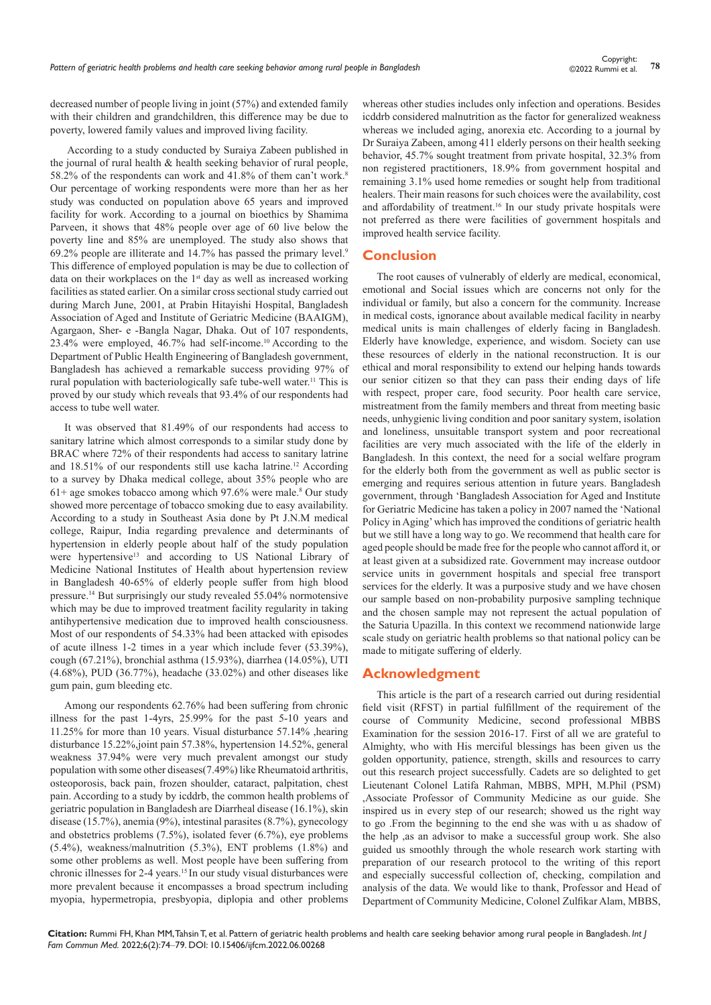decreased number of people living in joint (57%) and extended family with their children and grandchildren, this difference may be due to poverty, lowered family values and improved living facility.

 According to a study conducted by Suraiya Zabeen published in the journal of rural health & health seeking behavior of rural people, 58.2% of the respondents can work and 41.8% of them can't work.<sup>8</sup> Our percentage of working respondents were more than her as her study was conducted on population above 65 years and improved facility for work. According to a journal on bioethics by Shamima Parveen, it shows that 48% people over age of 60 live below the poverty line and 85% are unemployed. The study also shows that 69.2% people are illiterate and 14.7% has passed the primary level.<sup>9</sup> This difference of employed population is may be due to collection of data on their workplaces on the 1<sup>st</sup> day as well as increased working facilities as stated earlier. On a similar cross sectional study carried out during March June, 2001, at Prabin Hitayishi Hospital, Bangladesh Association of Aged and Institute of Geriatric Medicine (BAAIGM), Agargaon, Sher- e -Bangla Nagar, Dhaka. Out of 107 respondents, 23.4% were employed, 46.7% had self-income.10 According to the Department of Public Health Engineering of Bangladesh government, Bangladesh has achieved a remarkable success providing 97% of rural population with bacteriologically safe tube-well water.<sup>11</sup> This is proved by our study which reveals that 93.4% of our respondents had access to tube well water.

It was observed that 81.49% of our respondents had access to sanitary latrine which almost corresponds to a similar study done by BRAC where 72% of their respondents had access to sanitary latrine and 18.51% of our respondents still use kacha latrine.<sup>12</sup> According to a survey by Dhaka medical college, about 35% people who are  $61+$  age smokes tobacco among which 97.6% were male.<sup>8</sup> Our study showed more percentage of tobacco smoking due to easy availability. According to a study in Southeast Asia done by Pt J.N.M medical college, Raipur, India regarding prevalence and determinants of hypertension in elderly people about half of the study population were hypertensive<sup>13</sup> and according to US National Library of Medicine National Institutes of Health about hypertension review in Bangladesh 40-65% of elderly people suffer from high blood pressure.14 But surprisingly our study revealed 55.04% normotensive which may be due to improved treatment facility regularity in taking antihypertensive medication due to improved health consciousness. Most of our respondents of 54.33% had been attacked with episodes of acute illness 1-2 times in a year which include fever (53.39%), cough (67.21%), bronchial asthma (15.93%), diarrhea (14.05%), UTI (4.68%), PUD (36.77%), headache (33.02%) and other diseases like gum pain, gum bleeding etc.

Among our respondents 62.76% had been suffering from chronic illness for the past 1-4yrs, 25.99% for the past 5-10 years and 11.25% for more than 10 years. Visual disturbance 57.14% ,hearing disturbance 15.22%,joint pain 57.38%, hypertension 14.52%, general weakness 37.94% were very much prevalent amongst our study population with some other diseases(7.49%) like Rheumatoid arthritis, osteoporosis, back pain, frozen shoulder, cataract, palpitation, chest pain. According to a study by icddrb, the common health problems of geriatric population in Bangladesh are Diarrheal disease (16.1%), skin disease (15.7%), anemia (9%), intestinal parasites (8.7%), gynecology and obstetrics problems (7.5%), isolated fever (6.7%), eye problems (5.4%), weakness/malnutrition (5.3%), ENT problems (1.8%) and some other problems as well. Most people have been suffering from chronic illnesses for 2-4 years.<sup>15</sup> In our study visual disturbances were more prevalent because it encompasses a broad spectrum including myopia, hypermetropia, presbyopia, diplopia and other problems whereas other studies includes only infection and operations. Besides icddrb considered malnutrition as the factor for generalized weakness whereas we included aging, anorexia etc. According to a journal by Dr Suraiya Zabeen, among 411 elderly persons on their health seeking behavior, 45.7% sought treatment from private hospital, 32.3% from non registered practitioners, 18.9% from government hospital and remaining 3.1% used home remedies or sought help from traditional healers. Their main reasons for such choices were the availability, cost and affordability of treatment.<sup>16</sup> In our study private hospitals were not preferred as there were facilities of government hospitals and improved health service facility.

## **Conclusion**

The root causes of vulnerably of elderly are medical, economical, emotional and Social issues which are concerns not only for the individual or family, but also a concern for the community. Increase in medical costs, ignorance about available medical facility in nearby medical units is main challenges of elderly facing in Bangladesh. Elderly have knowledge, experience, and wisdom. Society can use these resources of elderly in the national reconstruction. It is our ethical and moral responsibility to extend our helping hands towards our senior citizen so that they can pass their ending days of life with respect, proper care, food security. Poor health care service, mistreatment from the family members and threat from meeting basic needs, unhygienic living condition and poor sanitary system, isolation and loneliness, unsuitable transport system and poor recreational facilities are very much associated with the life of the elderly in Bangladesh. In this context, the need for a social welfare program for the elderly both from the government as well as public sector is emerging and requires serious attention in future years. Bangladesh government, through 'Bangladesh Association for Aged and Institute for Geriatric Medicine has taken a policy in 2007 named the 'National Policy in Aging' which has improved the conditions of geriatric health but we still have a long way to go. We recommend that health care for aged people should be made free for the people who cannot afford it, or at least given at a subsidized rate. Government may increase outdoor service units in government hospitals and special free transport services for the elderly. It was a purposive study and we have chosen our sample based on non-probability purposive sampling technique and the chosen sample may not represent the actual population of the Saturia Upazilla. In this context we recommend nationwide large scale study on geriatric health problems so that national policy can be made to mitigate suffering of elderly.

#### **Acknowledgment**

This article is the part of a research carried out during residential field visit (RFST) in partial fulfillment of the requirement of the course of Community Medicine, second professional MBBS Examination for the session 2016-17. First of all we are grateful to Almighty, who with His merciful blessings has been given us the golden opportunity, patience, strength, skills and resources to carry out this research project successfully. Cadets are so delighted to get Lieutenant Colonel Latifa Rahman, MBBS, MPH, M.Phil (PSM) ,Associate Professor of Community Medicine as our guide. She inspired us in every step of our research; showed us the right way to go .From the beginning to the end she was with u as shadow of the help ,as an advisor to make a successful group work. She also guided us smoothly through the whole research work starting with preparation of our research protocol to the writing of this report and especially successful collection of, checking, compilation and analysis of the data. We would like to thank, Professor and Head of Department of Community Medicine, Colonel Zulfikar Alam, MBBS,